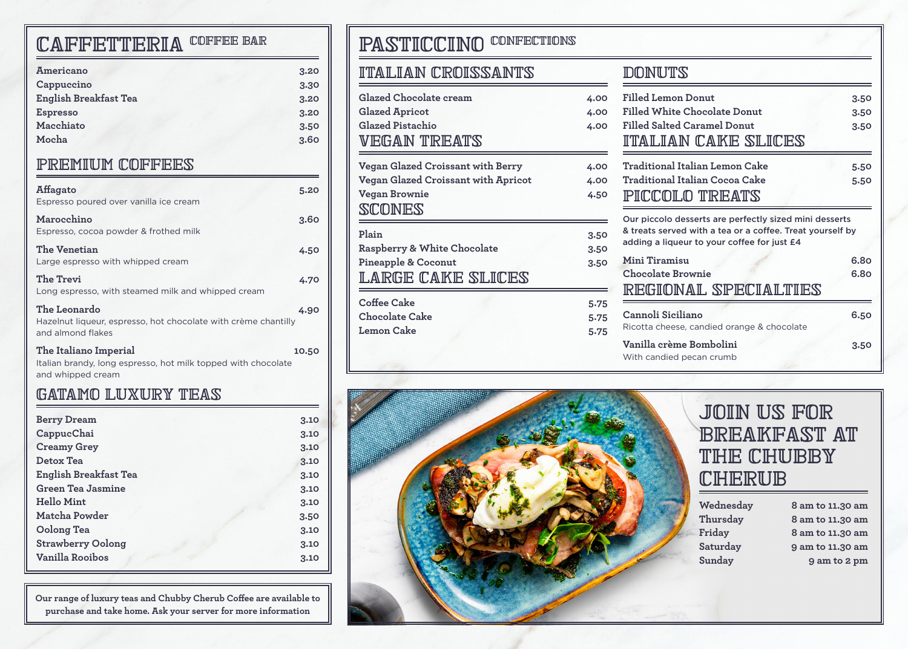# CAFFETTERIA COFFEE BAR

| Americano                    | 3.20 |
|------------------------------|------|
| Cappuccino                   | 3.30 |
| <b>English Breakfast Tea</b> | 3.20 |
| <b>Espresso</b>              | 3.20 |
| Macchiato                    | 3.50 |
| Mocha                        | 3.60 |
|                              |      |

#### premium coffees

| Affagato                                                                                                    | 5.20  |
|-------------------------------------------------------------------------------------------------------------|-------|
| Espresso poured over vanilla ice cream                                                                      |       |
| Marocchino<br>Espresso, cocoa powder & frothed milk                                                         | 3.60  |
| The Venetian<br>Large espresso with whipped cream                                                           | 4.50  |
| The Trevi<br>Long espresso, with steamed milk and whipped cream                                             | 4.70  |
| The Leonardo<br>Hazelnut liqueur, espresso, hot chocolate with crème chantilly<br>and almond flakes         | 4.90  |
| The Italiano Imperial<br>Italian brandy, long espresso, hot milk topped with chocolate<br>and whipped cream | 10.50 |

### gatamo luxury teas

| <b>Berry Dream</b>           | 3.10 |
|------------------------------|------|
| CappucChai                   | 3.10 |
| <b>Creamy Grey</b>           | 3.10 |
| Detox Tea                    | 3.10 |
| <b>English Breakfast Tea</b> | 3.10 |
| <b>Green Tea Jasmine</b>     | 3.10 |
| Hello Mint                   | 3.10 |
| Matcha Powder                | 3.50 |
| Oolong Tea                   | 3.10 |
| <b>Strawberry Oolong</b>     | 3.10 |
| <b>Vanilla Rooibos</b>       | 3.10 |

**Our range of luxury teas and Chubby Cherub Coffee are available to purchase and take home. Ask your server for more information**

# PASTICCINO CONFECTIONS

#### italian croissants

| Glazed Chocolate cream              | 4.00 |
|-------------------------------------|------|
| <b>Glazed Apricot</b>               | 4.00 |
| Glazed Pistachio                    | 4.00 |
| VEGAN TREATS                        |      |
| Vegan Glazed Croissant with Berry   | 4.00 |
| Vegan Glazed Croissant with Apricot | 4.00 |
| Vegan Brownie                       | 4.50 |
| SCONES                              |      |
| Plain                               | 3.50 |
| Raspberry & White Chocolate         | 3.50 |
| <b>Pineapple &amp; Coconut</b>      | 3.50 |
| LARGE CAKE SLICES                   |      |
| Coffee Cake                         | 5.75 |
| <b>Chocolate Cake</b>               | 5.75 |
| Lemon Cake                          | 5.75 |

#### **DONUTS**

| <b>Filled Lemon Donut</b>                                                                                                                                          | 3.50 |
|--------------------------------------------------------------------------------------------------------------------------------------------------------------------|------|
| Filled White Chocolate Donut                                                                                                                                       | 3.50 |
| Filled Salted Caramel Donut                                                                                                                                        | 3.50 |
| ITALIAN CAKE SLICES                                                                                                                                                |      |
| Traditional Italian Lemon Cake                                                                                                                                     | 5.50 |
| Traditional Italian Cocoa Cake                                                                                                                                     | 5.50 |
| PICCOLO TREATS                                                                                                                                                     |      |
| Our piccolo desserts are perfectly sized mini desserts<br>& treats served with a tea or a coffee. Treat yourself by<br>adding a liqueur to your coffee for just £4 |      |
| Mini Tiramisu                                                                                                                                                      | 6.80 |
| <b>Chocolate Brownie</b>                                                                                                                                           | 6.80 |
| REGIONAL SPECIALTIES                                                                                                                                               |      |
| Cannoli Siciliano<br>Ricotta cheese, candied orange & chocolate                                                                                                    | 6.50 |
| Vanilla crème Bombolini                                                                                                                                            | 3.50 |



# join us for **BREAKFAST AT** the chubby **CHERUB**

| Wednesday | 8 am to 11.30 am |
|-----------|------------------|
| Thursday  | 8 am to 11.30 am |
| Friday    | 8 am to 11.30 am |
| Saturday  | 9 am to 11.30 am |
| Sunday    | 9 am to 2 pm     |
|           |                  |